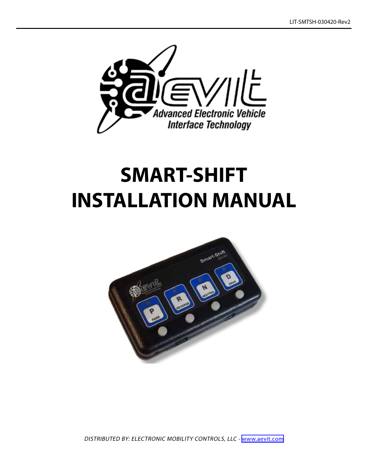

# **SMART-SHIFT INSTALLATION MANUAL**



DISTRIBUTED BY: ELECTRONIC MOBILITY CONTROLS, LLC - <www.aevit.com>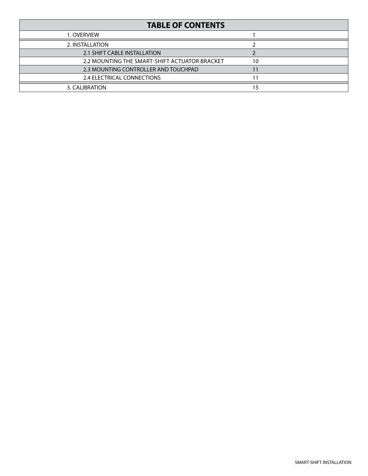| <b>TABLE OF CONTENTS</b>                      |    |  |
|-----------------------------------------------|----|--|
| 1. OVERVIEW                                   |    |  |
| 2. INSTALLATION                               |    |  |
| 2.1 SHIFT CABLE INSTALLATION                  |    |  |
| 2.2 MOUNTING THE SMART-SHIFT ACTUATOR BRACKET | 10 |  |
| 2.3 MOUNTING CONTROLLER AND TOUCHPAD          |    |  |
| 2.4 ELECTRICAL CONNECTIONS                    |    |  |
| 3. CALIBRATION                                | 15 |  |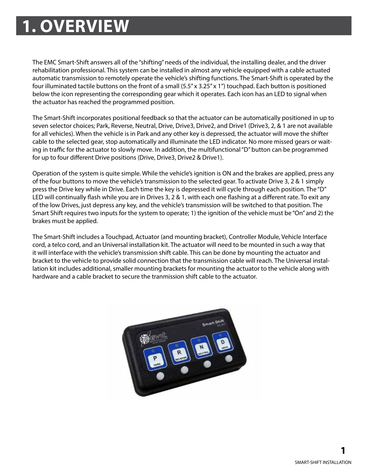## **M1-1 1. OVERVIEW**

The EMC Smart-Shift answers all of the "shifting" needs of the individual, the installing dealer, and the driver rehabilitation professional. This system can be installed in almost any vehicle equipped with a cable actuated automatic transmission to remotely operate the vehicle's shifting functions. The Smart-Shift is operated by the four illuminated tactile buttons on the front of a small (5.5" x 3.25" x 1") touchpad. Each button is positioned below the icon representing the corresponding gear which it operates. Each icon has an LED to signal when the actuator has reached the programmed position.

The Smart-Shift incorporates positional feedback so that the actuator can be automatically positioned in up to seven selector choices; Park, Reverse, Neutral, Drive, Drive3, Drive2, and Drive1 (Drive3, 2, & 1 are not available for all vehicles). When the vehicle is in Park and any other key is depressed, the actuator will move the shifter cable to the selected gear, stop automatically and illuminate the LED indicator. No more missed gears or waiting in traffic for the actuator to slowly move. In addition, the multifunctional "D" button can be programmed for up to four different Drive positions (Drive, Drive3, Drive2 & Drive1).

Operation of the system is quite simple. While the vehicle's ignition is ON and the brakes are applied, press any of the four buttons to move the vehicle's transmission to the selected gear. To activate Drive 3, 2 & 1 simply press the Drive key while in Drive. Each time the key is depressed it will cycle through each position. The "D" LED will continually flash while you are in Drives 3, 2 & 1, with each one flashing at a different rate. To exit any of the low Drives, just depress any key, and the vehicle's transmission will be switched to that position. The Smart Shift requires two inputs for the system to operate; 1) the ignition of the vehicle must be "On" and 2) the brakes must be applied.

The Smart-Shift includes a Touchpad, Actuator (and mounting bracket), Controller Module, Vehicle Interface cord, a telco cord, and an Universal installation kit. The actuator will need to be mounted in such a way that it will interface with the vehicle's transmission shift cable. This can be done by mounting the actuator and bracket to the vehicle to provide solid connection that the transmission cable will reach. The Universal installation kit includes additional, smaller mounting brackets for mounting the actuator to the vehicle along with hardware and a cable bracket to secure the tranmission shift cable to the actuator.

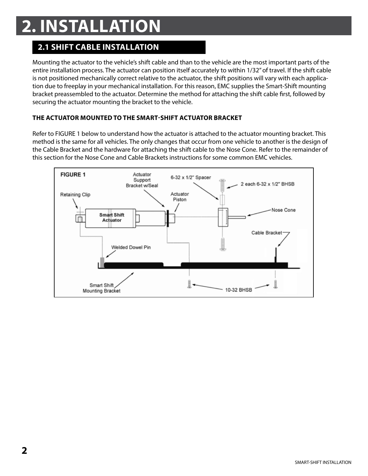## **M1-1 2. INSTALLATION**

## **2.1 SHIFT CABLE INSTALLATION**

Mounting the actuator to the vehicle's shift cable and than to the vehicle are the most important parts of the entire installation process. The actuator can position itself accurately to within 1/32" of travel. If the shift cable is not positioned mechanically correct relative to the actuator, the shift positions will vary with each application due to freeplay in your mechanical installation. For this reason, EMC supplies the Smart-Shift mounting bracket preassembled to the actuator. Determine the method for attaching the shift cable first, followed by securing the actuator mounting the bracket to the vehicle.

#### **THE ACTUATOR MOUNTED TO THE SMART-SHIFT ACTUATOR BRACKET**

Refer to FIGURE 1 below to understand how the actuator is attached to the actuator mounting bracket. This method is the same for all vehicles. The only changes that occur from one vehicle to another is the design of the Cable Bracket and the hardware for attaching the shift cable to the Nose Cone. Refer to the remainder of this section for the Nose Cone and Cable Brackets instructions for some common EMC vehicles.

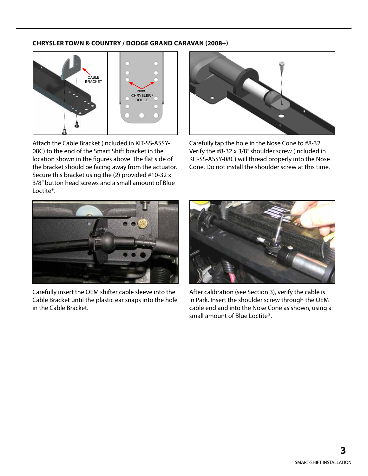#### **CHRYSLER TOWN & COUNTRY / DODGE GRAND CARAVAN (2008+)**



Attach the Cable Bracket (included in KIT-SS-ASSY-08C) to the end of the Smart Shift bracket in the location shown in the figures above. The flat side of the bracket should be facing away from the actuator. Secure this bracket using the (2) provided #10-32 x 3/8" button head screws and a small amount of Blue Loctite®.



Carefully tap the hole in the Nose Cone to #8-32. Verify the #8-32 x 3/8" shoulder screw (included in KIT-SS-ASSY-08C) will thread properly into the Nose Cone. Do not install the shoulder screw at this time.



Carefully insert the OEM shifter cable sleeve into the Cable Bracket until the plastic ear snaps into the hole in the Cable Bracket.



After calibration (see Section 3), verify the cable is in Park. Insert the shoulder screw through the OEM cable end and into the Nose Cone as shown, using a small amount of Blue Loctite®.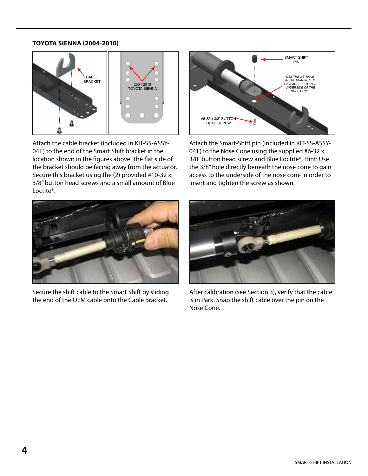#### **TOYOTA SIENNA (2004-2010)**



Attach the cable bracket (included in KIT-SS-ASSY-04T) to the end of the Smart Shift bracket in the location shown in the figures above. The flat side of the bracket should be facing away from the actuator. Secure this bracket using the (2) provided #10-32 x 3/8" button head screws and a small amount of Blue Loctite®.



Attach the Smart-Shift pin (included in KIT-SS-ASSY-04T) to the Nose Cone using the supplied #6-32 x 3/8" button head screw and Blue Loctite®. Hint: Use the 3/8" hole directly beneath the nose cone to gain access to the underside of the nose cone in order to insert and tighten the screw as shown.



Secure the shift cable to the Smart Shift by sliding the end of the OEM cable onto the Cable Bracket.



After calibration (see Section 3), verify that the cable is in Park. Snap the shift cable over the pin on the Nose Cone.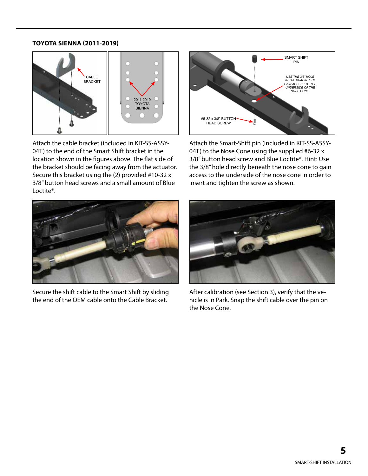#### **TOYOTA SIENNA (2011-2019)**



Attach the cable bracket (included in KIT-SS-ASSY-04T) to the end of the Smart Shift bracket in the location shown in the figures above. The flat side of the bracket should be facing away from the actuator. Secure this bracket using the (2) provided #10-32 x 3/8" button head screws and a small amount of Blue Loctite®.



Attach the Smart-Shift pin (included in KIT-SS-ASSY-04T) to the Nose Cone using the supplied #6-32 x 3/8" button head screw and Blue Loctite®. Hint: Use the 3/8" hole directly beneath the nose cone to gain access to the underside of the nose cone in order to insert and tighten the screw as shown.



Secure the shift cable to the Smart Shift by sliding the end of the OEM cable onto the Cable Bracket.



After calibration (see Section 3), verify that the vehicle is in Park. Snap the shift cable over the pin on the Nose Cone.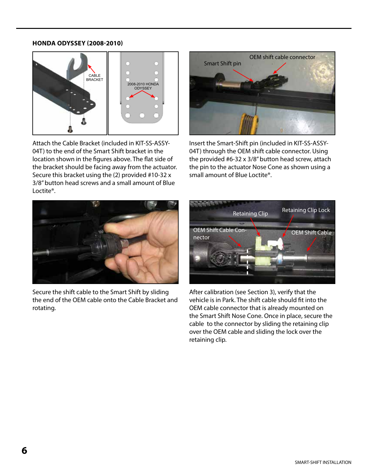#### **HONDA ODYSSEY (2008-2010)**



Attach the Cable Bracket (included in KIT-SS-ASSY-04T) to the end of the Smart Shift bracket in the location shown in the figures above. The flat side of the bracket should be facing away from the actuator. Secure this bracket using the (2) provided #10-32 x 3/8" button head screws and a small amount of Blue Loctite®.



Insert the Smart-Shift pin (included in KIT-SS-ASSY-04T) through the OEM shift cable connector. Using the provided #6-32 x 3/8" button head screw, attach the pin to the actuator Nose Cone as shown using a small amount of Blue Loctite®.



Secure the shift cable to the Smart Shift by sliding the end of the OEM cable onto the Cable Bracket and rotating.



After calibration (see Section 3), verify that the vehicle is in Park. The shift cable should fit into the OEM cable connector that is already mounted on the Smart Shift Nose Cone. Once in place, secure the cable to the connector by sliding the retaining clip over the OEM cable and sliding the lock over the retaining clip.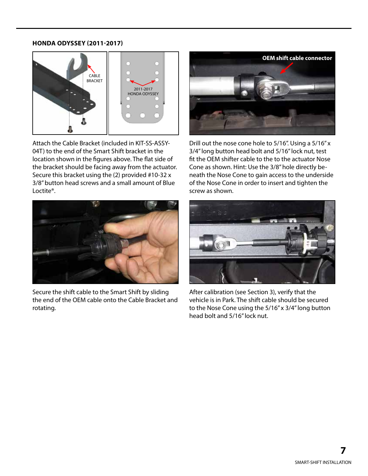#### **HONDA ODYSSEY (2011-2017)**



Attach the Cable Bracket (included in KIT-SS-ASSY-04T) to the end of the Smart Shift bracket in the location shown in the figures above. The flat side of the bracket should be facing away from the actuator. Secure this bracket using the (2) provided #10-32 x 3/8" button head screws and a small amount of Blue Loctite®.



Secure the shift cable to the Smart Shift by sliding the end of the OEM cable onto the Cable Bracket and rotating.



Drill out the nose cone hole to 5/16". Using a 5/16" x 3/4" long button head bolt and 5/16" lock nut, test fit the OEM shifter cable to the to the actuator Nose Cone as shown. Hint: Use the 3/8" hole directly beneath the Nose Cone to gain access to the underside of the Nose Cone in order to insert and tighten the screw as shown.



After calibration (see Section 3), verify that the vehicle is in Park. The shift cable should be secured to the Nose Cone using the 5/16" x 3/4" long button head bolt and 5/16" lock nut.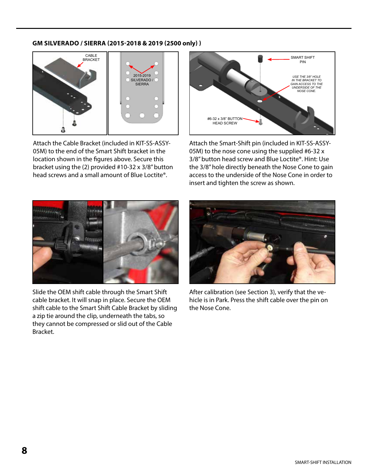#### **GM SILVERADO / SIERRA (2015-2018 & 2019 (2500 only) )**



Attach the Cable Bracket (included in KIT-SS-ASSY-05M) to the end of the Smart Shift bracket in the location shown in the figures above. Secure this bracket using the (2) provided #10-32 x 3/8" button head screws and a small amount of Blue Loctite®.



Attach the Smart-Shift pin (included in KIT-SS-ASSY-05M) to the nose cone using the supplied #6-32 x 3/8" button head screw and Blue Loctite®. Hint: Use the 3/8" hole directly beneath the Nose Cone to gain access to the underside of the Nose Cone in order to insert and tighten the screw as shown.



Slide the OEM shift cable through the Smart Shift cable bracket. It will snap in place. Secure the OEM shift cable to the Smart Shift Cable Bracket by sliding a zip tie around the clip, underneath the tabs, so they cannot be compressed or slid out of the Cable Bracket.



After calibration (see Section 3), verify that the vehicle is in Park. Press the shift cable over the pin on the Nose Cone.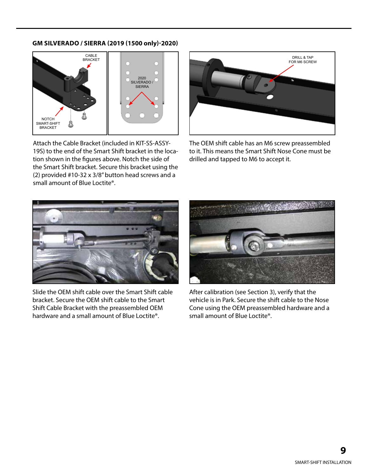#### **GM SILVERADO / SIERRA (2019 (1500 only)-2020)**



Attach the Cable Bracket (included in KIT-SS-ASSY-19S) to the end of the Smart Shift bracket in the location shown in the figures above. Notch the side of the Smart Shift bracket. Secure this bracket using the (2) provided #10-32 x 3/8" button head screws and a small amount of Blue Loctite®.



The OEM shift cable has an M6 screw preassembled to it. This means the Smart Shift Nose Cone must be drilled and tapped to M6 to accept it.



Slide the OEM shift cable over the Smart Shift cable bracket. Secure the OEM shift cable to the Smart Shift Cable Bracket with the preassembled OEM hardware and a small amount of Blue Loctite®.



After calibration (see Section 3), verify that the vehicle is in Park. Secure the shift cable to the Nose Cone using the OEM preassembled hardware and a small amount of Blue Loctite®.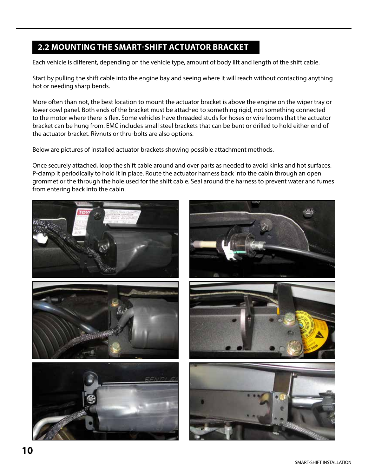### **2.2 MOUNTING THE SMART-SHIFT ACTUATOR BRACKET**

Each vehicle is different, depending on the vehicle type, amount of body lift and length of the shift cable.

Start by pulling the shift cable into the engine bay and seeing where it will reach without contacting anything hot or needing sharp bends.

More often than not, the best location to mount the actuator bracket is above the engine on the wiper tray or lower cowl panel. Both ends of the bracket must be attached to something rigid, not something connected to the motor where there is flex. Some vehicles have threaded studs for hoses or wire looms that the actuator bracket can be hung from. EMC includes small steel brackets that can be bent or drilled to hold either end of the actuator bracket. Rivnuts or thru-bolts are also options.

Below are pictures of installed actuator brackets showing possible attachment methods.

Once securely attached, loop the shift cable around and over parts as needed to avoid kinks and hot surfaces. P-clamp it periodically to hold it in place. Route the actuator harness back into the cabin through an open grommet or the through the hole used for the shift cable. Seal around the harness to prevent water and fumes from entering back into the cabin.

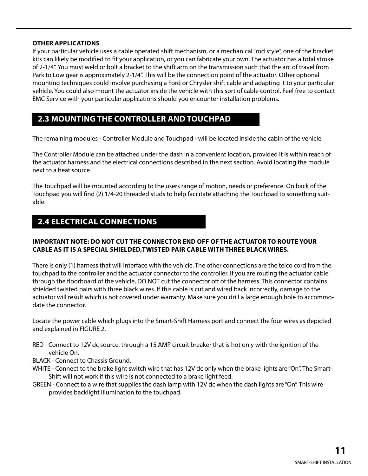#### **OTHER APPLICATIONS**

If your particular vehicle uses a cable operated shift mechanism, or a mechanical "rod style", one of the bracket kits can likely be modified to fit your application, or you can fabricate your own. The actuator has a total stroke of 2-1/4". You must weld or bolt a bracket to the shift arm on the transmission such that the arc of travel from Park to Low gear is approximately 2-1/4". This will be the connection point of the actuator. Other optional mounting techniques could involve purchasing a Ford or Chrysler shift cable and adapting it to your particular vehicle. You could also mount the actuator inside the vehicle with this sort of cable control. Feel free to contact EMC Service with your particular applications should you encounter installation problems.

### **2.3 MOUNTING THE CONTROLLER AND TOUCHPAD**

The remaining modules - Controller Module and Touchpad - will be located inside the cabin of the vehicle.

The Controller Module can be attached under the dash in a convenient location, provided it is within reach of the actuator harness and the electrical connections described in the next section. Avoid locating the module next to a heat source.

The Touchpad will be mounted according to the users range of motion, needs or preference. On back of the Touchpad you will find (2) 1/4-20 threaded studs to help facilitate attaching the Touchpad to something suitable.

### **2.4 ELECTRICAL CONNECTIONS**

#### **IMPORTANT NOTE: DO NOT CUT THE CONNECTOR END OFF OF THE ACTUATOR TO ROUTE YOUR CABLE AS IT IS A SPECIAL SHIELDED,TWISTED PAIR CABLE WITH THREE BLACK WIRES.**

There is only (1) harness that will interface with the vehicle. The other connections are the telco cord from the touchpad to the controller and the actuator connector to the controller. If you are routing the actuator cable through the floorboard of the vehicle, DO NOT cut the connector off of the harness. This connector contains shielded twisted pairs with three black wires. If this cable is cut and wired back incorrectly, damage to the actuator will result which is not covered under warranty. Make sure you drill a large enough hole to accommodate the connector.

Locate the power cable which plugs into the Smart-Shift Harness port and connect the four wires as depicted and explained in FIGURE 2.

- RED Connect to 12V dc source, through a 15 AMP circuit breaker that is hot only with the ignition of the vehicle On.
- BLACK Connect to Chassis Ground.
- WHITE Connect to the brake light switch wire that has 12V dc only when the brake lights are "On". The Smart-Shift will not work if this wire is not connected to a brake light feed.
- GREEN Connect to a wire that supplies the dash lamp with 12V dc when the dash lights are "On". This wire provides backlight illumination to the touchpad.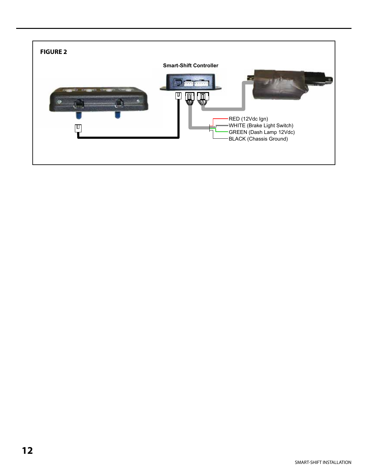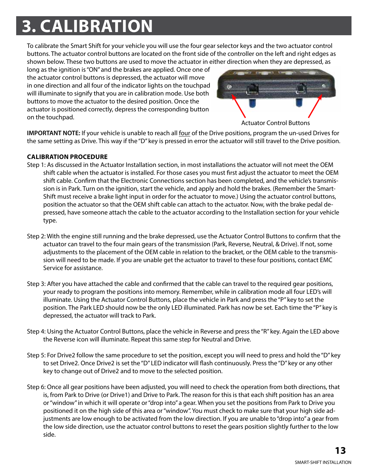## **M1-1 3. CALIBRATION**

To calibrate the Smart Shift for your vehicle you will use the four gear selector keys and the two actuator control buttons. The actuator control buttons are located on the front side of the controller on the left and right edges as shown below. These two buttons are used to move the actuator in either direction when they are depressed, as

long as the ignition is "ON" and the brakes are applied. Once one of the actuator control buttons is depressed, the actuator will move in one direction and all four of the indicator lights on the touchpad will illuminate to signify that you are in calibration mode. Use both buttons to move the actuator to the desired position. Once the actuator is positioned correctly, depress the corresponding button on the touchpad.



Actuator Control Buttons

**IMPORTANT NOTE:** If your vehicle is unable to reach all <u>four</u> of the Drive positions, program the un-used Drives for the same setting as Drive. This way if the "D" key is pressed in error the actuator will still travel to the Drive position.

#### **CALIBRATION PROCEDURE**

- Step 1: As discussed in the Actuator Installation section, in most installations the actuator will not meet the OEM shift cable when the actuator is installed. For those cases you must first adjust the actuator to meet the OEM shift cable. Confirm that the Electronic Connections section has been completed, and the vehicle's transmission is in Park. Turn on the ignition, start the vehicle, and apply and hold the brakes. (Remember the Smart-Shift must receive a brake light input in order for the actuator to move.) Using the actuator control buttons, position the actuator so that the OEM shift cable can attach to the actuator. Now, with the brake pedal depressed, have someone attach the cable to the actuator according to the Installation section for your vehicle type.
- Step 2: With the engine still running and the brake depressed, use the Actuator Control Buttons to confirm that the actuator can travel to the four main gears of the transmission (Park, Reverse, Neutral, & Drive). If not, some adjustments to the placement of the OEM cable in relation to the bracket, or the OEM cable to the transmission will need to be made. If you are unable get the actuator to travel to these four positions, contact EMC Service for assistance.
- Step 3: After you have attached the cable and confirmed that the cable can travel to the required gear positions, your ready to program the positions into memory. Remember, while in calibration mode all four LED's will illuminate. Using the Actuator Control Buttons, place the vehicle in Park and press the "P" key to set the position. The Park LED should now be the only LED illuminated. Park has now be set. Each time the "P" key is depressed, the actuator will track to Park.
- Step 4: Using the Actuator Control Buttons, place the vehicle in Reverse and press the "R" key. Again the LED above the Reverse icon will illuminate. Repeat this same step for Neutral and Drive.
- Step 5: For Drive2 follow the same procedure to set the position, except you will need to press and hold the "D" key to set Drive2. Once Drive2 is set the "D" LED indicator will flash continuously. Press the "D" key or any other key to change out of Drive2 and to move to the selected position.
- Step 6: Once all gear positions have been adjusted, you will need to check the operation from both directions, that is, from Park to Drive (or Drive1) and Drive to Park. The reason for this is that each shift position has an area or "window" in which it will operate or "drop into" a gear. When you set the positions from Park to Drive you positioned it on the high side of this area or "window". You must check to make sure that your high side adjustments are low enough to be activated from the low direction. If you are unable to "drop into" a gear from the low side direction, use the actuator control buttons to reset the gears position slightly further to the low side.